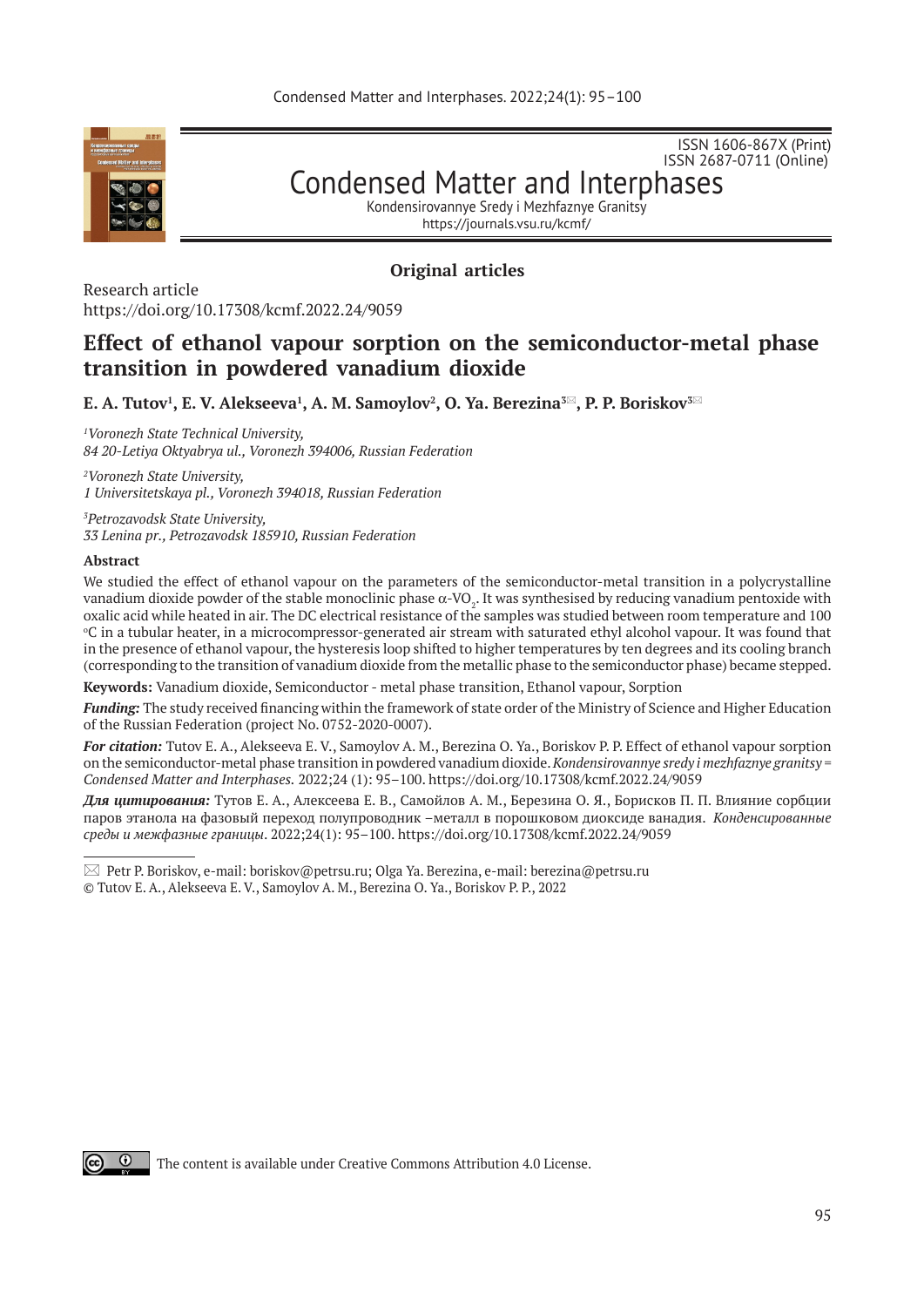

ISSN 2687-0711 (Online) Condensed Matter and Interphases

ISSN 1606-867Х (Print)

Kondensirovannye Sredy i Mezhfaznye Granitsy

https://journals.vsu.ru/kcmf/

# **Original articles**

Research article https://doi.org/10.17308/kcmf.2022.24/9059

# **Effect of ethanol vapour sorption on the semiconductor-metal phase transition in powdered vanadium dioxide**

 $\mathbf{E.~A.~Tutov}^1, \mathbf{E.~V.~A}$ lekseeva $^1, \mathbf{A.~M.~Samoylov}^2, \mathbf{O.~Ya.~Berezina^{3\Xi}, P.~P.~Boriskov^{3\Xi}}$ 

*1 Voronezh State Technical University, 84 20-Letiya Oktyabrya ul., Voronezh 394006, Russian Federation*

*2 Voronezh State University, 1 Universitetskaya pl., Voronezh 394018, Russian Federation*

*3 Petrozavodsk State University, 33 Lenina pr., Petrozavodsk 185910, Russian Federation*

#### **Abstract**

We studied the effect of ethanol vapour on the parameters of the semiconductor-metal transition in a polycrystalline vanadium dioxide powder of the stable monoclinic phase  $\alpha$ -VO $_2$ . It was synthesised by reducing vanadium pentoxide with oxalic acid while heated in air. The DC electrical resistance of the samples was studied between room temperature and 100 о С in a tubular heater, in a microcompressor-generated air stream with saturated ethyl alcohol vapour. It was found that in the presence of ethanol vapour, the hysteresis loop shifted to higher temperatures by ten degrees and its cooling branch (corresponding to the transition of vanadium dioxide from the metallic phase to the semiconductor phase) became stepped.

**Keywords:** Vanadium dioxide, Semiconductor - metal phase transition, Ethanol vapour, Sorption

*Funding:* The study received financing within the framework of state order of the Ministry of Science and Higher Education of the Russian Federation (project No. 0752-2020-0007).

*For citation:* Tutov E. A., Alekseeva E. V., Samoylov A. M., Berezina O. Ya., Boriskov P. P. Effect of ethanol vapour sorption on the semiconductor-metal phase transition in powdered vanadium dioxide. *Kondensirovannye sredy i mezhfaznye granitsy = Condensed Matter and Interphases.* 2022;24 (1): 95–100. https://doi.org/10.17308/kcmf.2022.24/9059

*Для цитирования:* Тутов Е. А., Алексеева Е. В., Самойлов А. М., Березина О. Я., Борисков П. П. Влияние сорбции паров этанола на фазовый переход полупроводник –металл в порошковом диоксиде ванадия. *Конденсированные среды и межфазные границы*. 2022;24(1): 95–100. https://doi.org/10.17308/kcmf.2022.24/9059



The content is available under Creative Commons Attribution 4.0 License.

 $\boxtimes$  Petr P. Boriskov, e-mail: boriskov@petrsu.ru; Olga Ya. Berezina, e-mail: berezina@petrsu.ru

<sup>©</sup> Tutov E. A., Alekseeva E. V., Samoylov A. M., Berezina O. Ya., Boriskov P. P., 2022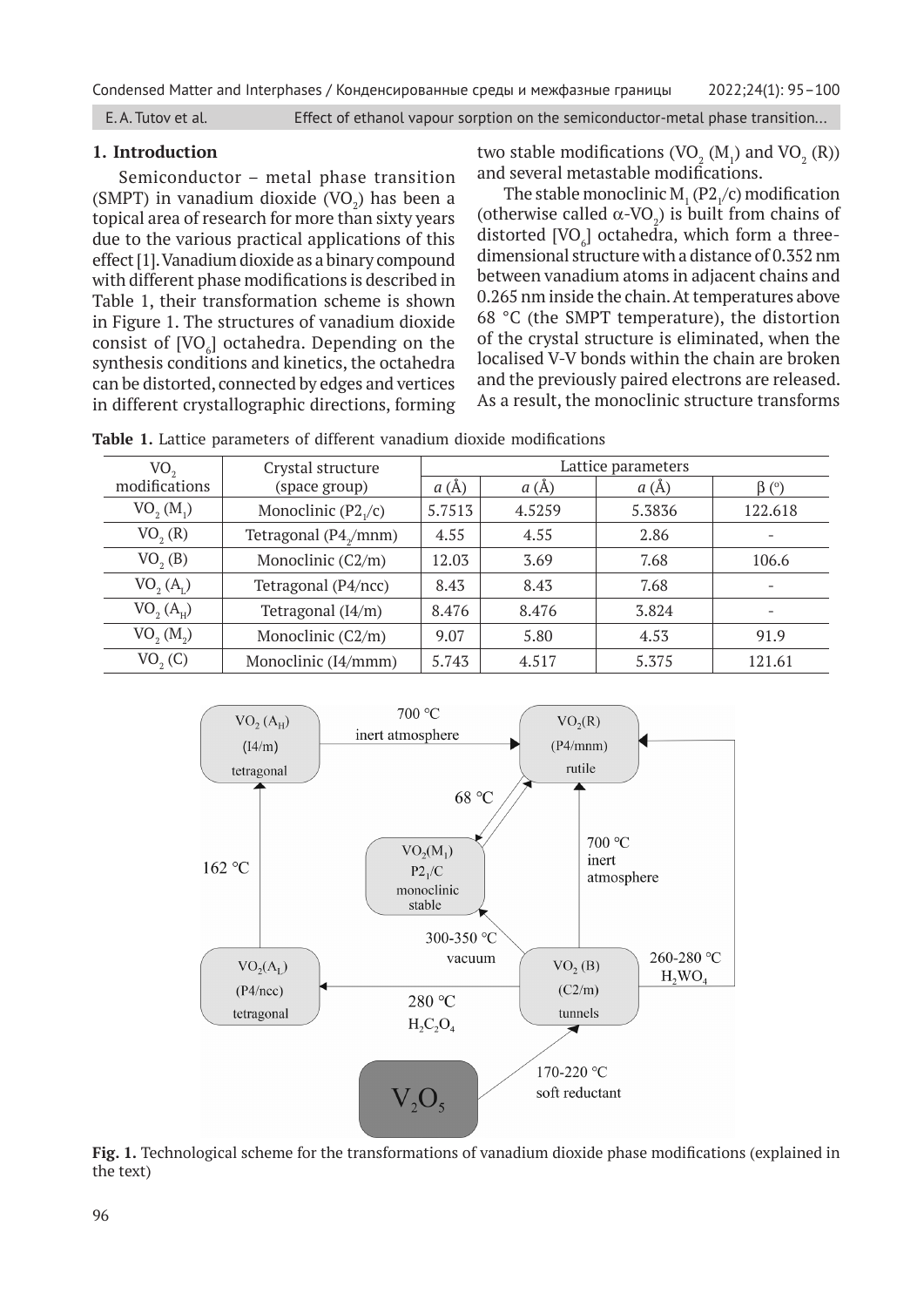E. A. Tutov et al. Effect of ethanol vapour sorption on the semiconductor-metal phase transition...

## **1. Introduction**

Semiconductor – metal phase transition (SMPT) in vanadium dioxide  $(VO_2)$  has been a topical area of research for more than sixty years due to the various practical applications of this effect [1]. Vanadium dioxide as a binary compound with different phase modifications is described in Table 1, their transformation scheme is shown in Figure 1. The structures of vanadium dioxide consist of  $[VO_{6}]$  octahedra. Depending on the synthesis conditions and kinetics, the octahedra can be distorted, connected by edges and vertices in different crystallographic directions, forming

two stable modifications  $(\rm VO_{2} (M_{1})$  and  $\rm VO_{2} (R))$ and several metastable modifications.

The stable monoclinic  $M_1(P2_1/c)$  modification (otherwise called  $\alpha$ -VO<sub>2</sub>) is built from chains of distorted  $[{\rm VO}_{\rm e}]$  octahedra, which form a threedimensional structure with a distance of 0.352 nm between vanadium atoms in adjacent chains and 0.265 nm inside the chain. At temperatures above 68 °C (the SMPT temperature), the distortion of the crystal structure is eliminated, when the localised V-V bonds within the chain are broken and the previously paired electrons are released. As a result, the monoclinic structure transforms

| VO,                               | Crystal structure                 | Lattice parameters |        |        |                          |
|-----------------------------------|-----------------------------------|--------------------|--------|--------|--------------------------|
| modifications                     | (space group)                     | a(A)               | a(A)   | a(A)   | $\beta$ (°)              |
| $VO_{2}(M_{1})$                   | Monoclinic $(P21/c)$              | 5.7513             | 4.5259 | 5.3836 | 122.618                  |
| VO <sub>2</sub> (R)               | Tetragonal (P4 <sub>y</sub> /mnm) | 4.55               | 4.55   | 2.86   | $\qquad \qquad -$        |
| VO, (B)                           | Monoclinic (C2/m)                 | 12.03              | 3.69   | 7.68   | 106.6                    |
| VO <sub>2</sub> (A <sub>r</sub> ) | Tetragonal (P4/ncc)               | 8.43               | 8.43   | 7.68   | $\overline{\phantom{a}}$ |
| VO <sub>2</sub> (A <sub>H</sub> ) | Tetragonal (I4/m)                 | 8.476              | 8.476  | 3.824  | $\overline{\phantom{a}}$ |
| VO, (M, )                         | Monoclinic (C2/m)                 | 9.07               | 5.80   | 4.53   | 91.9                     |
| VO <sub>2</sub> (C)               | Monoclinic (I4/mmm)               | 5.743              | 4.517  | 5.375  | 121.61                   |

**Table 1.** Lattice parameters of different vanadium dioxide modifications



**Fig. 1.** Technological scheme for the transformations of vanadium dioxide phase modifications (explained in the text)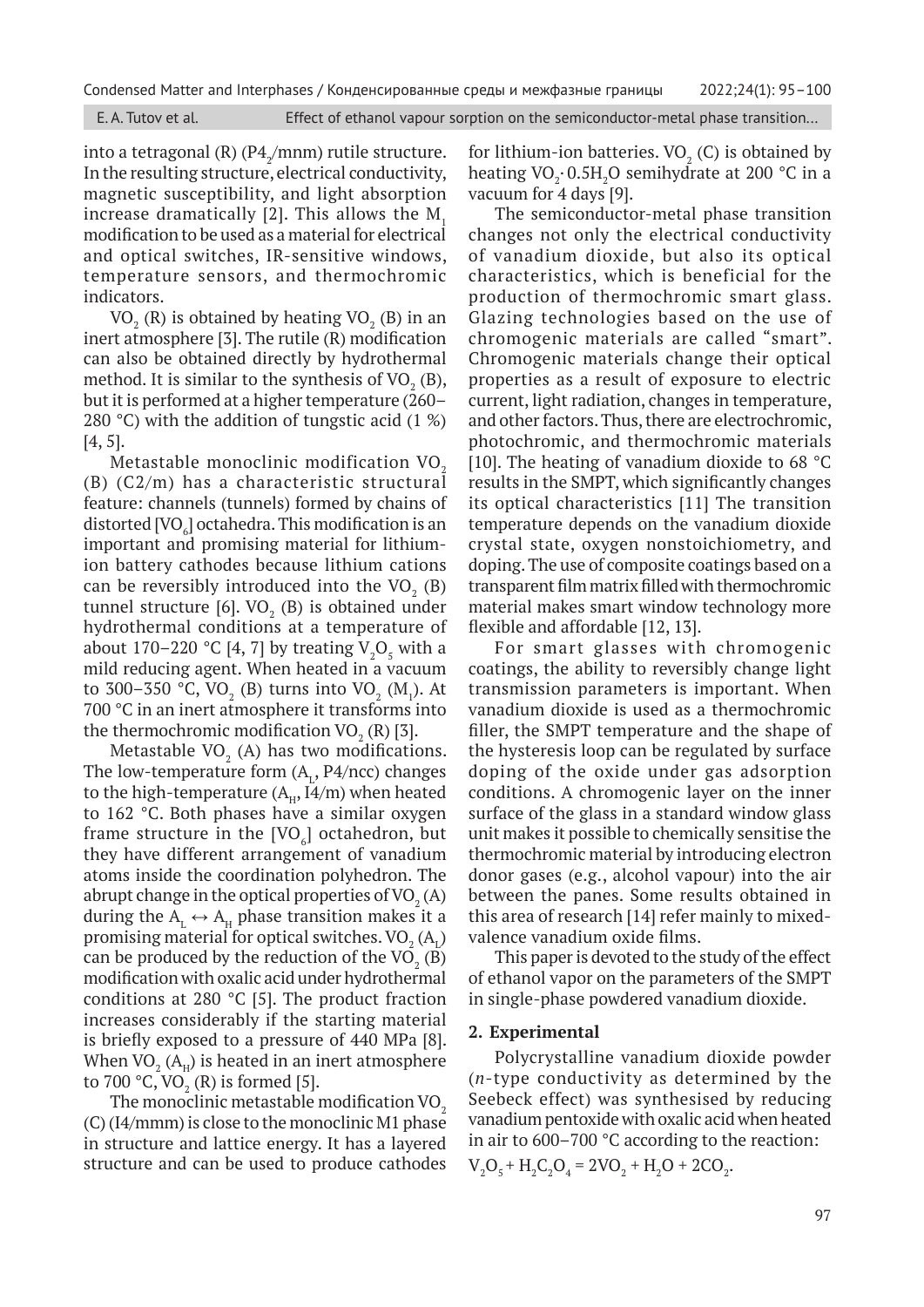Condensed Matter and Interphases / Конденсированные среды и межфазные границы 2022;24(1): 95–100

into a tetragonal (R) (P $4/$ mnm) rutile structure. In the resulting structure, electrical conductivity, magnetic susceptibility, and light absorption increase dramatically  $[2]$ . This allows the M<sub>1</sub> modification to be used as a material for electrical and optical switches, IR-sensitive windows, temperature sensors, and thermochromic indicators.

 $\rm VO_{2}$  (R) is obtained by heating  $\rm VO_{2}$  (B) in an inert atmosphere [3]. The rutile (R) modification can also be obtained directly by hydrothermal method. It is similar to the synthesis of VO<sub>2</sub> (B), but it is performed at a higher temperature (260– 280 °C) with the addition of tungstic acid (1 %) [4, 5].

Metastable monoclinic modification  $VO<sub>2</sub>$ (B) (C2/m) has a characteristic structural feature: channels (tunnels) formed by chains of distorted [VO $_{\rm 6}$ ] octahedra. This modification is an important and promising material for lithiumion battery cathodes because lithium cations can be reversibly introduced into the VO<sub>2</sub> (B) tunnel structure [6].  $\rm VO_{2}$  (B) is obtained under hydrothermal conditions at a temperature of about 170–220 °C [4, 7] by treating  $V_2O_5$  with a mild reducing agent. When heated in a vacuum to 300–350 °C, VO<sub>2</sub> (B) turns into VO<sub>2</sub> (M<sub>1</sub>). At 700 °C in an inert atmosphere it transforms into the thermochromic modification  $VO<sub>2</sub> (R)$  [3].

Metastable VO $_{\text{2}}$  (A) has two modifications. The low-temperature form  $(A_L, P4/ncc)$  changes to the high-temperature  $(A_H, I4/m)$  when heated to 162 °C. Both phases have a similar oxygen frame structure in the [VO $_{\rm 6}$ ] octahedron, but they have different arrangement of vanadium atoms inside the coordination polyhedron. The abrupt change in the optical properties of VO<sub>2</sub> (A) during the  $A_t \leftrightarrow A_{H}$  phase transition makes it a promising material for optical switches.  $\mathrm{VO}_2\,(\mathrm{A}_\mathrm{L})$ can be produced by the reduction of the  $VO_2$  (B) modification with oxalic acid under hydrothermal conditions at 280 °C [5]. The product fraction increases considerably if the starting material is briefly exposed to a pressure of 440 MPa [8]. When VO $_{\textrm{\tiny{2}}}$  (A<sub>H</sub>) is heated in an inert atmosphere to 700 °C,  $VO_2(R)$  is formed [5].

The monoclinic metastable modification VO<sub>2</sub> (C) (I4/mmm) is close to the monoclinic M1 phase in structure and lattice energy. It has a layered structure and can be used to produce cathodes for lithium-ion batteries.  $VO<sub>2</sub>$  (C) is obtained by heating VO<sub>2</sub> $\cdot$ 0.5H<sub>2</sub>O semihydrate at 200 °C in a vacuum for 4 days [9].

The semiconductor-metal phase transition changes not only the electrical conductivity of vanadium dioxide, but also its optical characteristics, which is beneficial for the production of thermochromic smart glass. Glazing technologies based on the use of chromogenic materials are called "smart". Chromogenic materials change their optical properties as a result of exposure to electric current, light radiation, changes in temperature, and other factors. Thus, there are electrochromic, photochromic, and thermochromic materials [10]. The heating of vanadium dioxide to 68 °C results in the SMPT, which significantly changes its optical characteristics [11] The transition temperature depends on the vanadium dioxide crystal state, oxygen nonstoichiometry, and doping. The use of composite coatings based on a transparent film matrix filled with thermochromic material makes smart window technology more flexible and affordable [12, 13].

For smart glasses with chromogenic coatings, the ability to reversibly change light transmission parameters is important. When vanadium dioxide is used as a thermochromic filler, the SMPT temperature and the shape of the hysteresis loop can be regulated by surface doping of the oxide under gas adsorption conditions. A chromogenic layer on the inner surface of the glass in a standard window glass unit makes it possible to chemically sensitise the thermochromic material by introducing electron donor gases (e.g., alcohol vapour) into the air between the panes. Some results obtained in this area of research [14] refer mainly to mixedvalence vanadium oxide films.

This paper is devoted to the study of the effect of ethanol vapor on the parameters of the SMPT in single-phase powdered vanadium dioxide.

# **2. Experimental**

Polycrystalline vanadium dioxide powder (*n*-type conductivity as determined by the Seebeck effect) was synthesised by reducing vanadium pentoxide with oxalic acid when heated in air to 600–700 °C according to the reaction:  $V_2O_5 + H_2C_2O_4 = 2VO_2 + H_2O + 2CO_2.$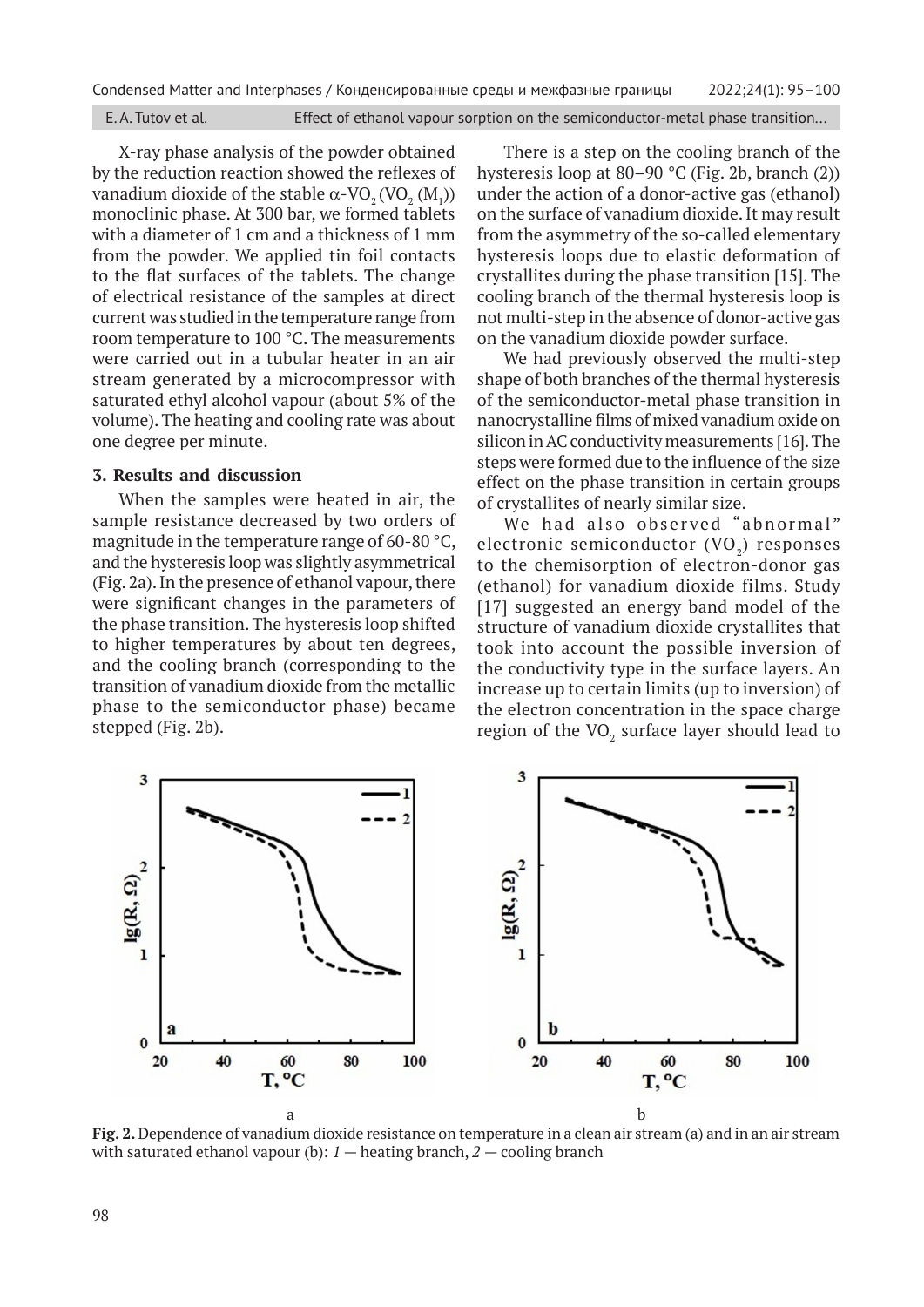E. A. Tutov et al. Effect of ethanol vapour sorption on the semiconductor-metal phase transition...

X-ray phase analysis of the powder obtained by the reduction reaction showed the reflexes of vanadium dioxide of the stable  $\alpha$ -VO<sub>2</sub> (VO<sub>2</sub> (M<sub>1</sub>)) monoclinic phase. At 300 bar, we formed tablets with a diameter of 1 cm and a thickness of 1 mm from the powder. We applied tin foil contacts to the flat surfaces of the tablets. The change of electrical resistance of the samples at direct current was studied in the temperature range from room temperature to 100 °C. The measurements were carried out in a tubular heater in an air stream generated by a microcompressor with saturated ethyl alcohol vapour (about 5% of the volume). The heating and cooling rate was about one degree per minute.

#### **3. Results and discussion**

When the samples were heated in air, the sample resistance decreased by two orders of magnitude in the temperature range of 60-80 °C, and the hysteresis loop was slightly asymmetrical (Fig. 2a). In the presence of ethanol vapour, there were significant changes in the parameters of the phase transition. The hysteresis loop shifted to higher temperatures by about ten degrees, and the cooling branch (corresponding to the transition of vanadium dioxide from the metallic phase to the semiconductor phase) became stepped (Fig. 2b).

There is a step on the cooling branch of the hysteresis loop at 80–90 °C (Fig. 2b, branch (2)) under the action of a donor-active gas (ethanol) on the surface of vanadium dioxide. It may result from the asymmetry of the so-called elementary hysteresis loops due to elastic deformation of crystallites during the phase transition [15]. The cooling branch of the thermal hysteresis loop is not multi-step in the absence of donor-active gas on the vanadium dioxide powder surface.

We had previously observed the multi-step shape of both branches of the thermal hysteresis of the semiconductor-metal phase transition in nanocrystalline films of mixed vanadium oxide on silicon in AC conductivity measurements [16]. The steps were formed due to the influence of the size effect on the phase transition in certain groups of crystallites of nearly similar size.

We had also observed "abnormal" electronic semiconductor  $(VO<sub>2</sub>)$  responses to the chemisorption of electron-donor gas (ethanol) for vanadium dioxide films. Study [17] suggested an energy band model of the structure of vanadium dioxide crystallites that took into account the possible inversion of the conductivity type in the surface layers. An increase up to certain limits (up to inversion) of the electron concentration in the space charge region of the VO $_{\rm 2}$  surface layer should lead to



**Fig. 2.** Dependence of vanadium dioxide resistance on temperature in a clean air stream (a) and in an air stream with saturated ethanol vapour (b): *1* — heating branch, *2* — cooling branch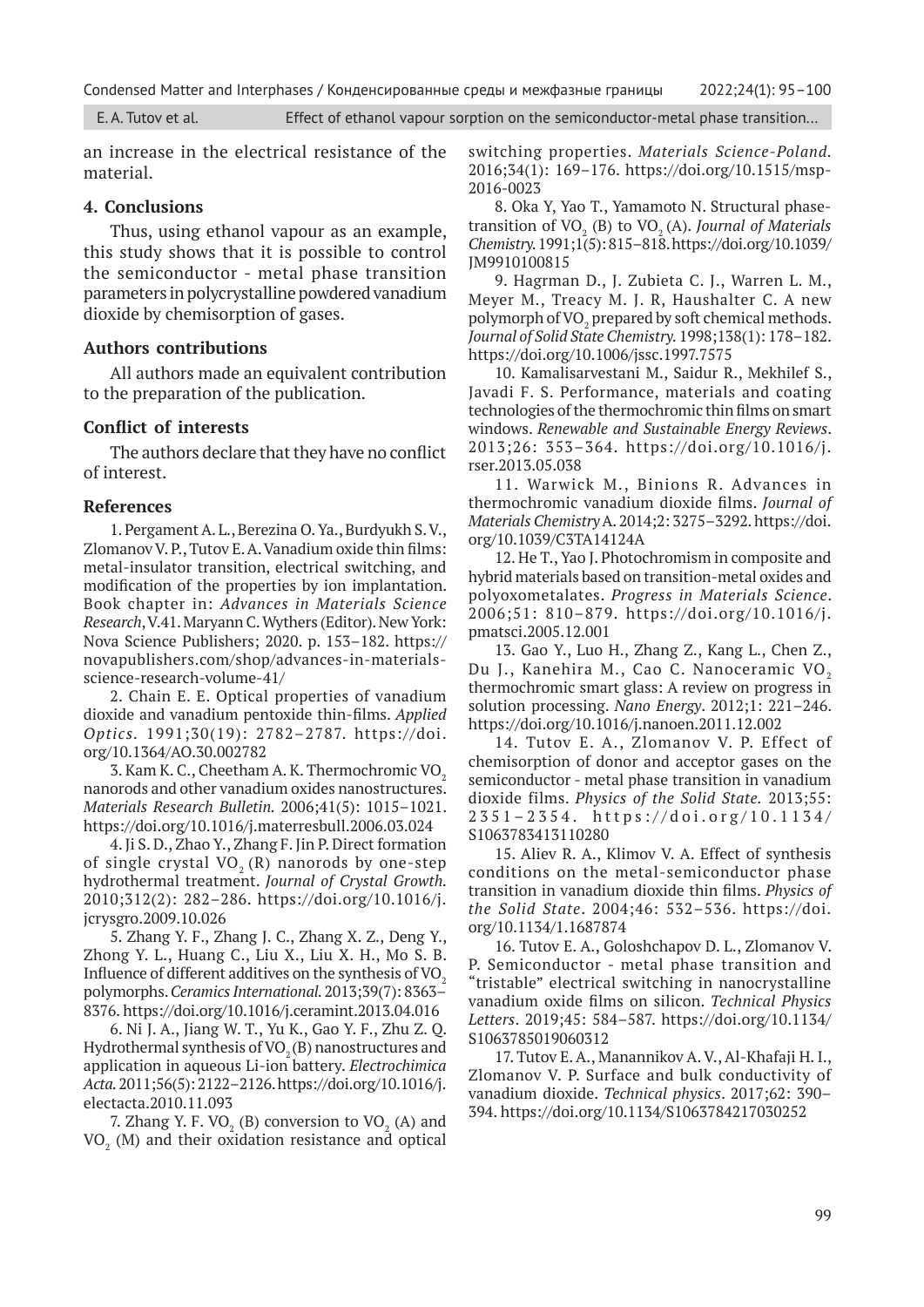E. A. Tutov et al. Effect of ethanol vapour sorption on the semiconductor-metal phase transition...

an increase in the electrical resistance of the material.

### **4. Conclusions**

Thus, using ethanol vapour as an example, this study shows that it is possible to control the semiconductor - metal phase transition parameters in polycrystalline powdered vanadium dioxide by chemisorption of gases.

### **Authors contributions**

All authors made an equivalent contribution to the preparation of the publication.

#### **Conflict of interests**

The authors declare that they have no conflict of interest.

#### **References**

1. Pergament A. L., Berezina O. Ya., Burdyukh S. V., Zlomanov V. P., Tutov E. A. Vanadium oxide thin films: metal-insulator transition, electrical switching, and modification of the properties by ion implantation. Book chapter in: *Advances in Materials Science Research*, V.41. Maryann C. Wythers (Editor). New York: Nova Science Publishers; 2020. p. 153–182. https:// novapublishers.com/shop/advances-in-materialsscience-research-volume-41/

2. Chain E. E. Optical properties of vanadium dioxide and vanadium pentoxide thin-films. *Applied Optics.* 1991;30(19): 2782–2787. https://doi. org/10.1364/AO.30.002782

3. Kam K. C., Cheetham A. K. Thermochromic VO<sub>2</sub> nanorods and other vanadium oxides nanostructures. *Materials Research Bulletin.* 2006;41(5): 1015–1021. https://doi.org/10.1016/j.materresbull.2006.03.024

4. Ji S. D., Zhao Y., Zhang F. Jin P. Direct formation of single crystal  $VO<sub>2</sub> (R)$  nanorods by one-step hydrothermal treatment. *Journal of Crystal Growth.*  2010;312(2): 282–286. https://doi.org/10.1016/j. jcrysgro.2009.10.026

5. Zhang Y. F., Zhang J. C., Zhang X. Z., Deng Y., Zhong Y. L., Huang C., Liu X., Liu X. H., Mo S. B. Influence of different additives on the synthesis of  $VO<sub>2</sub>$ polymorphs. *Ceramics International.* 2013;39(7): 8363– 8376. https://doi.org/10.1016/j.ceramint.2013.04.016

6. Ni J. A., Jiang W. T., Yu K., Gao Y. F., Zhu Z. Q. Hydrothermal synthesis of  $VO<sub>2</sub>(B)$  nanostructures and application in aqueous Li-ion battery. *Electrochimica Acta.* 2011;56(5): 2122–2126. https://doi.org/10.1016/j. electacta.2010.11.093

7. Zhang Y. F. VO<sub>2</sub> (B) conversion to  $VO_2$  (A) and  $\rm VO_{2}$  (M) and their oxidation resistance and optical switching properties. *Materials Science-Poland.*  2016;34(1): 169–176. https://doi.org/10.1515/msp-2016-0023

8. Oka Y, Yao T., Yamamoto N. Structural phasetransition of  $VO<sub>2</sub>$  (B) to  $VO<sub>2</sub>$  (A). *Journal of Materials Chemistry.* 1991;1(5): 815–818. https://doi.org/10.1039/ JM9910100815

9. Hagrman D., J. Zubieta C. J., Warren L. M., Meyer M., Treacy M. J. R, Haushalter C. A new polymorph of VO<sub>2</sub> prepared by soft chemical methods. *Journal of Solid State Chemistry.* 1998;138(1): 178–182. https://doi.org/10.1006/jssc.1997.7575

10. Kamalisarvestani M., Saidur R., Mekhilef S., Javadi F. S. Performance, materials and coating technologies of the thermochromic thin films on smart windows. *Renewable and Sustainable Energy Reviews*. 2013;26: 353–364. https://doi.org/10.1016/j. rser.2013.05.038

11. Warwick M., Binions R. Advances in thermochromic vanadium dioxide films. *Journal of Materials Chemistry* A. 2014;2: 3275–3292. https://doi. org/10.1039/C3TA14124A

12. He T., Yao J. Photochromism in composite and hybrid materials based on transition-metal oxides and polyoxometalates. *Progress in Materials Science*. 2006;51: 810–879. https://doi.org/10.1016/j. pmatsci.2005.12.001

13. Gao Y., Luo H., Zhang Z., Kang L., Chen Z., Du J., Kanehira M., Cao C. Nanoceramic VO<sub>2</sub> thermochromic smart glass: A review on progress in solution processing. *Nano Energy*. 2012;1: 221–246. https://doi.org/10.1016/j.nanoen.2011.12.002

14. Tutov E. A., Zlomanov V. P. Effect of chemisorption of donor and acceptor gases on the semiconductor - metal phase transition in vanadium dioxide films. *Physics of the Solid State.* 2013;55: 2351–2354. https://doi.org/10.1134/ S1063783413110280

15. Aliev R. A., Klimov V. A. Effect of synthesis conditions on the metal-semiconductor phase transition in vanadium dioxide thin films. *Physics of the Solid State*. 2004;46: 532–536. https://doi. org/10.1134/1.1687874

16. Tutov E. A., Goloshchapov D. L., Zlomanov V. P. Semiconductor - metal phase transition and "tristable" electrical switching in nanocrystalline vanadium oxide films on silicon. *Technical Physics Letters*. 2019;45: 584–587. https://doi.org/10.1134/ S1063785019060312

17. Tutov E. A., Manannikov A. V., Al-Khafaji H. I., Zlomanov V. P. Surface and bulk conductivity of vanadium dioxide. *Technical physics*. 2017;62: 390– 394. https://doi.org/10.1134/S1063784217030252